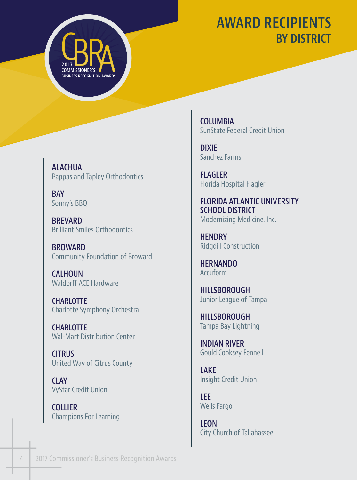## **AWARD RECIPIENTS BY DISTRICT**

**COMMISSIONER'S BUSINESS RECOGNITION AWARD 2017**

**ALACHUA**  Pappas and Tapley Orthodontics

**BAY**  Sonny's BBQ

**BREVARD**  Brilliant Smiles Orthodontics

**BROWARD**  Community Foundation of Broward

**CALHOUN**  Waldorff ACE Hardware

**CHARLOTTE**  Charlotte Symphony Orchestra

**CHARLOTTE**  Wal-Mart Distribution Center

**CITRUS**  United Way of Citrus County

**CLAY**  VyStar Credit Union

**COLLIER**  Champions For Learning **COLUMBIA**  SunState Federal Credit Union

**DIXIE**  Sanchez Farms

**FLAGLER**  Florida Hospital Flagler

**FLORIDA ATLANTIC UNIVERSITY SCHOOL DISTRICT**  Modernizing Medicine, Inc.

**HENDRY**  Ridgdill Construction

**HERNANDO**  Accuform

**HILLSBOROUGH**  Junior League of Tampa

**HILLSBOROUGH**  Tampa Bay Lightning

**INDIAN RIVER**  Gould Cooksey Fennell

**LAKE**  Insight Credit Union

**LEE**  Wells Fargo

**LEON**  City Church of Tallahassee